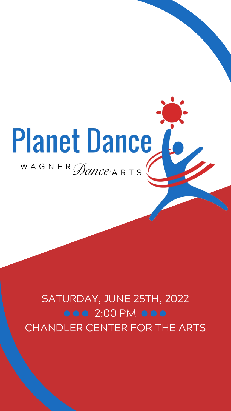# Planet Dance WAGNER Dance ARTS

SATURDAY, JUNE 25TH, 2022 **000** 2:00 PM 000 CHANDLER CENTER FOR THE ARTS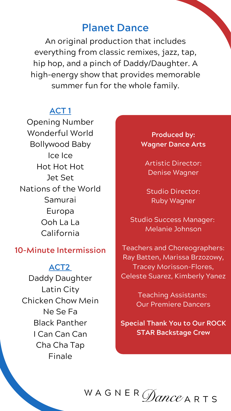# **Planet Dance**

An original production that includes everything from classic remixes, jazz, tap, hip hop, and a pinch of Daddy/Daughter. A high-energy show that provides memorable summer fun for the whole family.

# **ACT 1**

Opening Number Wonderful World Bollywood Baby Ice Ice Hot Hot Hot Jet Set Nations of the World Samurai Europa Ooh La La California

# **10-Minute Intermission**

### **ACT2**

Daddy Daughter Latin City Chicken Chow Mein Ne Se Fa Black Panther I Can Can Can Cha Cha Tap Finale

**Produced by: Wagner Dance Arts**

Artistic Director: Denise Wagner

Studio Director: Ruby Wagner

Studio Success Manager: Melanie Johnson

Teachers and Choreographers: Ray Batten, Marissa Brzozowy, Tracey Morisson-Flores, Celeste Suarez, Kimberly Yanez

> Teaching Assistants: Our Premiere Dancers

**Special Thank You to Our ROCK STAR Backstage Crew**

#### WAGNER $\bigcap$ *ance* ARTS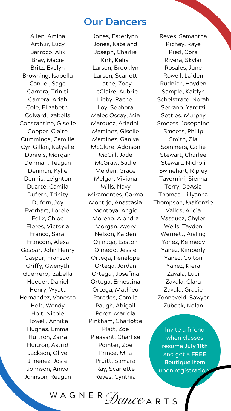# **Our Dancers**

Invite a friend when classes resume **July 11th** and get a **FREE Boutique Item** upon registration

WAGNER  $\mathscr{D}ance$  a r t s

Allen, Amina Arthur, Lucy Barroco, Alix Bray, Macie Britz, Evelyn Browning, Isabella Canuel, Sage Carrera, Triniti Carrera, Ariah Cole, Elizabeth Colvard, Izabella Constantine, Giselle Cooper, Claire Cummings, Camille Cyr-Gillan, Katyelle Daniels, Morgan Denman, Teagan Denman, Kylie Dennis, Leighton Duarte, Camila Dufern, Trinity Dufern, Joy Everhart, Lorelei Felix, Chloe Flores, Victoria Franco, Sarai Francom, Alexa Gaspar, John Henry Gaspar, Fransao Griffy, Gwenyth Guerrero, Izabella Heeder, Daniel Henry, Wyatt Hernandez, Vanessa Holt, Wendy Holt, Nicole Howell, Annika Hughes, Emma Huitron, Zaira Huitron, Astrid Jackson, Olive Jimenez, Josie Johnson, Aniya Johnson, Reagan

Reyes, Samantha Richey, Raye Ried, Cora Rivera, Skylar Rosales, June Rowell, Laiden Rudnick, Hayden Sample, Kaitlyn Schelstrate, Norah Serrano, Yaretzi Settles, Murphy Smeets, Josephine Smeets, Philip Smith, Zia Sommers, Callie Stewart, Charlee Stewart, Nicholi Swinehart, Ripley Tavernini, Sienna Terry, DeAsia Thomas, Lillyanna Thompson, MaKenzie Valles, Alicia Vasquez, Chyler Wells, Tayden Wernett, Aisling Yanez, Kennedy Yanez, Kimberly Yanez, Colton Yanez, Kiera Zavala, Luci Zavala, Clara Zavala, Gracie Zonneveld, Sawyer Zubeck, Nolan

Jones, Esterlynn Jones, Kateland Joseph, Charlie Kirk, Kelisi Larsen, Brooklyn Larsen, Scarlett Lathe, Zoey LeClaire, Aubrie Libby, Rachel Loy, Sephora Malec Oscay, Mia Marquez, Ariadni Martinez, Giselle Martinez, Ganiva McClure, Addison McGill, Jade McGraw, Sadie Melden, Grace Melgar, Viviana Mills, Navy Miramontes, Carma Montijo, Anastasia Montoya, Angie Moreno, Alondra Morgan, Avery Nelson, Kaiden Ojinaga, Easton Olmedo, Jessie Ortega, Penelope Ortega, Jordan Ortega , Josefina Ortega, Ernestina Ortega, Mathieu Paredes, Camila Paugh, Abigail Perez, Mariela Pinkham, Charlotte Platt, Zoe Pleasant, Charlise Pointer, Zoe Prince, Mila Pruitt, Samara Ray, Scarlette Reyes, Cynthia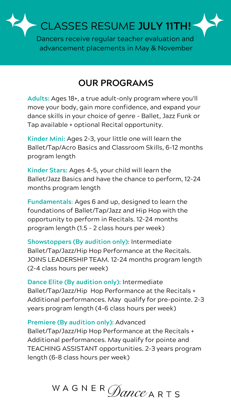CLASSES RESUME **JULY 11TH!**

Dancers receive regular teacher evaluation and advancement placements in May & November

# **OUR PROGRAMS**

**Adults:** Ages 18+, a true adult-only program where you'll move your body, gain more confidence, and expand your dance skills in your choice of genre - Ballet, Jazz Funk or Tap available + optional Recital opportunity.

**Kinder Mini:** Ages 2-3, your little one will learn the Ballet/Tap/Acro Basics and Classroom Skills, 6-12 months program length

**Kinder Stars:** Ages 4-5, your child will learn the Ballet/Jazz Basics and have the chance to perform, 12-24 months program length

**Fundamentals**: Ages 6 and up, designed to learn the foundations of Ballet/Tap/Jazz and Hip Hop with the opportunity to perform in Recitals. 12-24 months program length (1.5 - 2 class hours per week)

**Showstoppers (By audition only):** Intermediate Ballet/Tap/Jazz/Hip Hop Performance at the Recitals.

JOINS LEADERSHIP TEAM. 12-24 months program length (2-4 class hours per week)

## **Dance Elite (By audition only):** Intermediate

Ballet/Tap/Jazz/Hip Hop Performance at the Recitals + Additional performances. May qualify for pre-pointe. 2-3 years program length (4-6 class hours per week)

#### **Premiere (By audition only):** Advanced

Ballet/Tap/Jazz/Hip Hop Performance at the Recitals + Additional performances. May qualify for pointe and TEACHING ASSISTANT opportunities. 2-3 years program length (6-8 class hours per week)

# WAGNER *Dance* ARTS